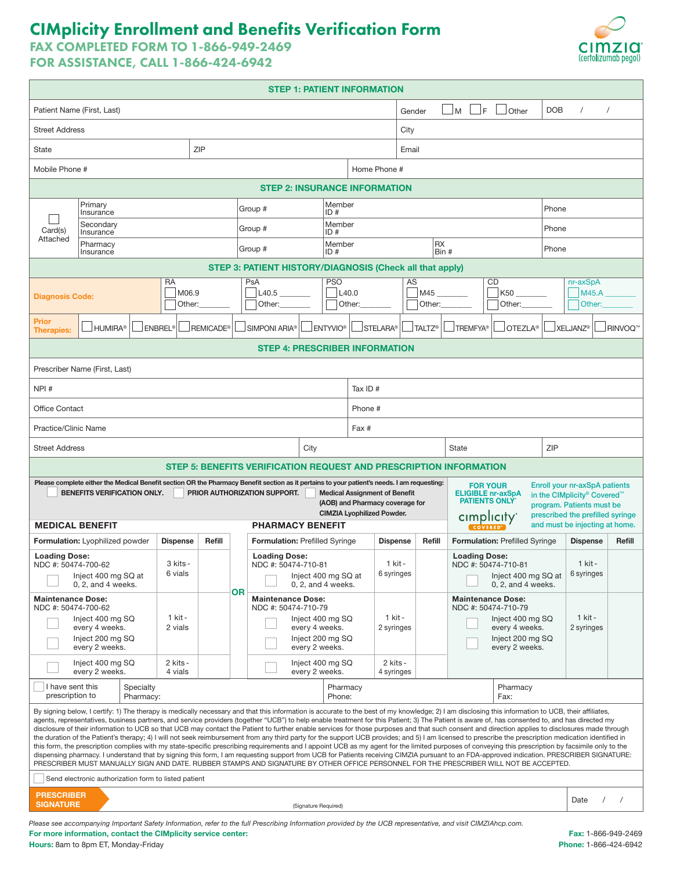# CIMplicity Enrollment and Benefits Verification Form

FAX COMPLETED FORM TO 1-866-949-2469

FOR ASSISTANCE, CALL 1-866-424-6942

| Patient Name (First, Last)<br><b>DOB</b><br>IF.<br>Other<br>$\mathsf{M}$<br>$\prime$<br>Gender<br><b>Street Address</b><br>City<br>ZIP<br>State<br>Email<br>Home Phone #<br>Mobile Phone #<br><b>STEP 2: INSURANCE INFORMATION</b><br>Primary<br>Member<br>Group #<br>Phone<br>ID#<br>Insurance<br>Secondary<br>Member<br>Phone<br>Group #<br>Card(s)<br>ID#<br>Insurance<br>Attached<br><b>RX</b><br>Member<br>Pharmacy<br>Group #<br>Phone<br>ID#<br>Bin #<br>Insurance<br>STEP 3: PATIENT HISTORY/DIAGNOSIS (Check all that apply)<br><b>PSO</b><br>AS<br>RA<br>PsA<br>CD<br>nr-axSpA<br>K50<br>M06.9<br>L40.5<br>L <sub>40.0</sub><br>M45<br>M45.A<br><b>Diagnosis Code:</b><br>Other:<br>Other:<br>Other:<br>Other:<br>Other:<br>Other:<br>Prior<br><b>ENBREL®</b><br>REMICADE <sup>®</sup><br>SIMPONI ARIA <sup>®</sup><br><b>JENTYVIO®</b><br><b>JXELJANZ®</b><br>JHUMIRA®<br>$\sqcup$ STELARA®<br>$\Box$ TALTZ®<br><b>JTREMFYA®</b><br>$\mathsf{J}$ OTEZLA®<br><b>Therapies:</b><br><b>STEP 4: PRESCRIBER INFORMATION</b>                                                                                                                                                                                                                                                                                                                                                                                          | <b>RINVOQ™</b> |  |  |  |  |  |  |  |
|----------------------------------------------------------------------------------------------------------------------------------------------------------------------------------------------------------------------------------------------------------------------------------------------------------------------------------------------------------------------------------------------------------------------------------------------------------------------------------------------------------------------------------------------------------------------------------------------------------------------------------------------------------------------------------------------------------------------------------------------------------------------------------------------------------------------------------------------------------------------------------------------------------------------------------------------------------------------------------------------------------------------------------------------------------------------------------------------------------------------------------------------------------------------------------------------------------------------------------------------------------------------------------------------------------------------------------------------------------------------------------------------------------------------------|----------------|--|--|--|--|--|--|--|
|                                                                                                                                                                                                                                                                                                                                                                                                                                                                                                                                                                                                                                                                                                                                                                                                                                                                                                                                                                                                                                                                                                                                                                                                                                                                                                                                                                                                                            |                |  |  |  |  |  |  |  |
|                                                                                                                                                                                                                                                                                                                                                                                                                                                                                                                                                                                                                                                                                                                                                                                                                                                                                                                                                                                                                                                                                                                                                                                                                                                                                                                                                                                                                            |                |  |  |  |  |  |  |  |
|                                                                                                                                                                                                                                                                                                                                                                                                                                                                                                                                                                                                                                                                                                                                                                                                                                                                                                                                                                                                                                                                                                                                                                                                                                                                                                                                                                                                                            |                |  |  |  |  |  |  |  |
|                                                                                                                                                                                                                                                                                                                                                                                                                                                                                                                                                                                                                                                                                                                                                                                                                                                                                                                                                                                                                                                                                                                                                                                                                                                                                                                                                                                                                            |                |  |  |  |  |  |  |  |
|                                                                                                                                                                                                                                                                                                                                                                                                                                                                                                                                                                                                                                                                                                                                                                                                                                                                                                                                                                                                                                                                                                                                                                                                                                                                                                                                                                                                                            |                |  |  |  |  |  |  |  |
|                                                                                                                                                                                                                                                                                                                                                                                                                                                                                                                                                                                                                                                                                                                                                                                                                                                                                                                                                                                                                                                                                                                                                                                                                                                                                                                                                                                                                            |                |  |  |  |  |  |  |  |
|                                                                                                                                                                                                                                                                                                                                                                                                                                                                                                                                                                                                                                                                                                                                                                                                                                                                                                                                                                                                                                                                                                                                                                                                                                                                                                                                                                                                                            |                |  |  |  |  |  |  |  |
|                                                                                                                                                                                                                                                                                                                                                                                                                                                                                                                                                                                                                                                                                                                                                                                                                                                                                                                                                                                                                                                                                                                                                                                                                                                                                                                                                                                                                            |                |  |  |  |  |  |  |  |
|                                                                                                                                                                                                                                                                                                                                                                                                                                                                                                                                                                                                                                                                                                                                                                                                                                                                                                                                                                                                                                                                                                                                                                                                                                                                                                                                                                                                                            |                |  |  |  |  |  |  |  |
|                                                                                                                                                                                                                                                                                                                                                                                                                                                                                                                                                                                                                                                                                                                                                                                                                                                                                                                                                                                                                                                                                                                                                                                                                                                                                                                                                                                                                            |                |  |  |  |  |  |  |  |
|                                                                                                                                                                                                                                                                                                                                                                                                                                                                                                                                                                                                                                                                                                                                                                                                                                                                                                                                                                                                                                                                                                                                                                                                                                                                                                                                                                                                                            |                |  |  |  |  |  |  |  |
|                                                                                                                                                                                                                                                                                                                                                                                                                                                                                                                                                                                                                                                                                                                                                                                                                                                                                                                                                                                                                                                                                                                                                                                                                                                                                                                                                                                                                            |                |  |  |  |  |  |  |  |
| Prescriber Name (First, Last)                                                                                                                                                                                                                                                                                                                                                                                                                                                                                                                                                                                                                                                                                                                                                                                                                                                                                                                                                                                                                                                                                                                                                                                                                                                                                                                                                                                              |                |  |  |  |  |  |  |  |
| NPI#<br>Tax ID $#$                                                                                                                                                                                                                                                                                                                                                                                                                                                                                                                                                                                                                                                                                                                                                                                                                                                                                                                                                                                                                                                                                                                                                                                                                                                                                                                                                                                                         |                |  |  |  |  |  |  |  |
| <b>Office Contact</b><br>Phone #                                                                                                                                                                                                                                                                                                                                                                                                                                                                                                                                                                                                                                                                                                                                                                                                                                                                                                                                                                                                                                                                                                                                                                                                                                                                                                                                                                                           |                |  |  |  |  |  |  |  |
| Practice/Clinic Name<br>Fax #                                                                                                                                                                                                                                                                                                                                                                                                                                                                                                                                                                                                                                                                                                                                                                                                                                                                                                                                                                                                                                                                                                                                                                                                                                                                                                                                                                                              |                |  |  |  |  |  |  |  |
| ZIP<br><b>Street Address</b><br>City<br><b>State</b>                                                                                                                                                                                                                                                                                                                                                                                                                                                                                                                                                                                                                                                                                                                                                                                                                                                                                                                                                                                                                                                                                                                                                                                                                                                                                                                                                                       |                |  |  |  |  |  |  |  |
| STEP 5: BENEFITS VERIFICATION REQUEST AND PRESCRIPTION INFORMATION                                                                                                                                                                                                                                                                                                                                                                                                                                                                                                                                                                                                                                                                                                                                                                                                                                                                                                                                                                                                                                                                                                                                                                                                                                                                                                                                                         |                |  |  |  |  |  |  |  |
| Please complete either the Medical Benefit section OR the Pharmacy Benefit section as it pertains to your patient's needs. I am requesting:<br>Enroll your nr-axSpA patients<br><b>FOR YOUR</b>                                                                                                                                                                                                                                                                                                                                                                                                                                                                                                                                                                                                                                                                                                                                                                                                                                                                                                                                                                                                                                                                                                                                                                                                                            |                |  |  |  |  |  |  |  |
| BENEFITS VERIFICATION ONLY.<br>PRIOR AUTHORIZATION SUPPORT.<br><b>Medical Assignment of Benefit</b><br><b>ELIGIBLE nr-axSpA</b><br>in the CIMplicity® Covered™<br><b>PATIENTS ONLY</b><br>(AOB) and Pharmacy coverage for<br>program. Patients must be<br><b>CIMZIA Lyophilized Powder.</b>                                                                                                                                                                                                                                                                                                                                                                                                                                                                                                                                                                                                                                                                                                                                                                                                                                                                                                                                                                                                                                                                                                                                |                |  |  |  |  |  |  |  |
| prescribed the prefilled syringe<br>cimplicity<br>and must be injecting at home.<br><b>MEDICAL BENEFIT</b><br><b>PHARMACY BENEFIT</b><br><b>COVERED</b>                                                                                                                                                                                                                                                                                                                                                                                                                                                                                                                                                                                                                                                                                                                                                                                                                                                                                                                                                                                                                                                                                                                                                                                                                                                                    |                |  |  |  |  |  |  |  |
| Formulation: Lyophilized powder<br><b>Dispense</b><br>Refill<br>Formulation: Prefilled Syringe<br>Refill<br><b>Formulation: Prefilled Syringe</b><br><b>Dispense</b><br><b>Dispense</b>                                                                                                                                                                                                                                                                                                                                                                                                                                                                                                                                                                                                                                                                                                                                                                                                                                                                                                                                                                                                                                                                                                                                                                                                                                    | Refill         |  |  |  |  |  |  |  |
| <b>Loading Dose:</b><br><b>Loading Dose:</b><br><b>Loading Dose:</b><br>3 kits -<br>1 kit -<br>1 kit -<br>NDC #: 50474-700-62<br>NDC #: 50474-710-81<br>NDC #: 50474-710-81<br>6 vials<br>6 syringes<br>6 syringes<br>$\Box$ Inject 400 mg SQ at<br>$\Box$ Inject 400 mg SQ at<br>$\Box$ Inject 400 mg SQ at<br>$0, 2,$ and $4$ weeks.<br>$0, 2,$ and $4$ weeks.<br>0.2. and 4 weeks.                                                                                                                                                                                                                                                                                                                                                                                                                                                                                                                                                                                                                                                                                                                                                                                                                                                                                                                                                                                                                                      |                |  |  |  |  |  |  |  |
| ΟR<br><b>Maintenance Dose:</b><br><b>Maintenance Dose:</b><br><b>Maintenance Dose:</b><br>NDC #: 50474-700-62<br>NDC #: 50474-710-79<br>NDC #: 50474-710-79                                                                                                                                                                                                                                                                                                                                                                                                                                                                                                                                                                                                                                                                                                                                                                                                                                                                                                                                                                                                                                                                                                                                                                                                                                                                |                |  |  |  |  |  |  |  |
| 1 kit -<br>1 kit -<br>1 kit -<br>Inject 400 mg SQ<br>Inject 400 mg SQ<br>Inject 400 mg SQ<br>2 vials<br>2 syringes<br>every 4 weeks.<br>every 4 weeks.<br>every 4 weeks.<br>2 syringes                                                                                                                                                                                                                                                                                                                                                                                                                                                                                                                                                                                                                                                                                                                                                                                                                                                                                                                                                                                                                                                                                                                                                                                                                                     |                |  |  |  |  |  |  |  |
| Inject 200 mg SQ<br>Inject 200 mg SQ<br>Inject 200 mg SQ<br>every 2 weeks.<br>every 2 weeks.<br>every 2 weeks.                                                                                                                                                                                                                                                                                                                                                                                                                                                                                                                                                                                                                                                                                                                                                                                                                                                                                                                                                                                                                                                                                                                                                                                                                                                                                                             |                |  |  |  |  |  |  |  |
| 2 kits -<br>2 kits -<br>Inject 400 mg SQ<br>Inject 400 mg SQ<br>4 vials<br>every 2 weeks.<br>every 2 weeks.<br>4 syringes                                                                                                                                                                                                                                                                                                                                                                                                                                                                                                                                                                                                                                                                                                                                                                                                                                                                                                                                                                                                                                                                                                                                                                                                                                                                                                  |                |  |  |  |  |  |  |  |
| I have sent this<br>Specialty<br>Pharmacy<br>Pharmacy<br>prescription to<br>Phone:<br>Pharmacy:<br>Fax:                                                                                                                                                                                                                                                                                                                                                                                                                                                                                                                                                                                                                                                                                                                                                                                                                                                                                                                                                                                                                                                                                                                                                                                                                                                                                                                    |                |  |  |  |  |  |  |  |
| By signing below, I certify: 1) The therapy is medically necessary and that this information is accurate to the best of my knowledge; 2) I am disclosing this information to UCB, their affiliates,<br>agents, representatives, business partners, and service providers (together "UCB") to help enable treatment for this Patient; 3) The Patient is aware of, has consented to, and has directed my<br>disclosure of their information to UCB so that UCB may contact the Patient to further enable services for those purposes and that such consent and direction applies to disclosures made through<br>the duration of the Patient's therapy; 4) I will not seek reimbursement from any third party for the support UCB provides; and 5) I am licensed to prescribe the prescription medication identified in<br>this form, the prescription complies with my state-specific prescribing requirements and I appoint UCB as my agent for the limited purposes of conveying this prescription by facsimile only to the<br>dispensing pharmacy. I understand that by signing this form, I am requesting support from UCB for Patients receiving CIMZIA pursuant to an FDA-approved indication. PRESCRIBER SIGNATURE:<br>PRESCRIBER MUST MANUALLY SIGN AND DATE. RUBBER STAMPS AND SIGNATURE BY OTHER OFFICE PERSONNEL FOR THE PRESCRIBER WILL NOT BE ACCEPTED.<br>Send electronic authorization form to listed patient |                |  |  |  |  |  |  |  |
| <b>PRESCRIBER</b>                                                                                                                                                                                                                                                                                                                                                                                                                                                                                                                                                                                                                                                                                                                                                                                                                                                                                                                                                                                                                                                                                                                                                                                                                                                                                                                                                                                                          |                |  |  |  |  |  |  |  |
| Date<br>$\prime$<br><b>SIGNATURE</b><br>(Signature Required)                                                                                                                                                                                                                                                                                                                                                                                                                                                                                                                                                                                                                                                                                                                                                                                                                                                                                                                                                                                                                                                                                                                                                                                                                                                                                                                                                               |                |  |  |  |  |  |  |  |

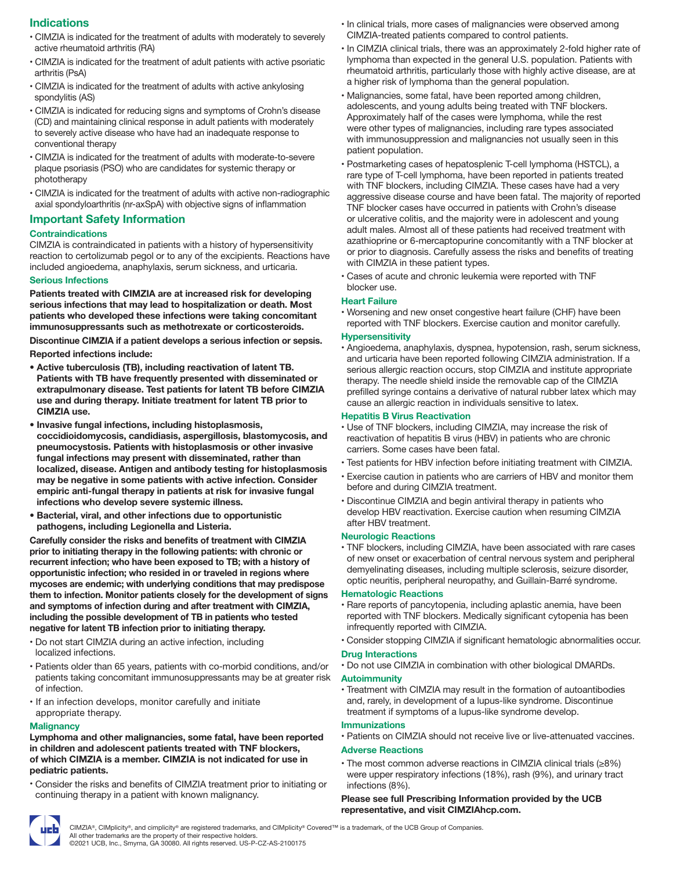## **Indications**

- CIMZIA is indicated for the treatment of adults with moderately to severely active rheumatoid arthritis (RA)
- CIMZIA is indicated for the treatment of adult patients with active psoriatic arthritis (PsA)
- CIMZIA is indicated for the treatment of adults with active ankylosing spondylitis (AS)
- CIMZIA is indicated for reducing signs and symptoms of Crohn's disease (CD) and maintaining clinical response in adult patients with moderately to severely active disease who have had an inadequate response to conventional therapy
- CIMZIA is indicated for the treatment of adults with moderate-to-severe plaque psoriasis (PSO) who are candidates for systemic therapy or phototherapy
- CIMZIA is indicated for the treatment of adults with active non-radiographic axial spondyloarthritis (nr-axSpA) with objective signs of inflammation

### Important Safety Information

#### **Contraindications**

CIMZIA is contraindicated in patients with a history of hypersensitivity reaction to certolizumab pegol or to any of the excipients. Reactions have included angioedema, anaphylaxis, serum sickness, and urticaria.

#### Serious Infections

Patients treated with CIMZIA are at increased risk for developing serious infections that may lead to hospitalization or death. Most patients who developed these infections were taking concomitant immunosuppressants such as methotrexate or corticosteroids.

Discontinue CIMZIA if a patient develops a serious infection or sepsis. Reported infections include:

- Active tuberculosis (TB), including reactivation of latent TB. Patients with TB have frequently presented with disseminated or extrapulmonary disease. Test patients for latent TB before CIMZIA use and during therapy. Initiate treatment for latent TB prior to CIMZIA use.
- Invasive fungal infections, including histoplasmosis, coccidioidomycosis, candidiasis, aspergillosis, blastomycosis, and pneumocystosis. Patients with histoplasmosis or other invasive fungal infections may present with disseminated, rather than localized, disease. Antigen and antibody testing for histoplasmosis may be negative in some patients with active infection. Consider empiric anti-fungal therapy in patients at risk for invasive fungal infections who develop severe systemic illness.
- Bacterial, viral, and other infections due to opportunistic pathogens, including Legionella and Listeria.

Carefully consider the risks and benefits of treatment with CIMZIA prior to initiating therapy in the following patients: with chronic or recurrent infection; who have been exposed to TB; with a history of opportunistic infection; who resided in or traveled in regions where mycoses are endemic; with underlying conditions that may predispose them to infection. Monitor patients closely for the development of signs and symptoms of infection during and after treatment with CIMZIA, including the possible development of TB in patients who tested negative for latent TB infection prior to initiating therapy.

- Do not start CIMZIA during an active infection, including localized infections.
- Patients older than 65 years, patients with co-morbid conditions, and/or patients taking concomitant immunosuppressants may be at greater risk of infection.
- If an infection develops, monitor carefully and initiate appropriate therapy.

#### **Malignancy**

#### Lymphoma and other malignancies, some fatal, have been reported in children and adolescent patients treated with TNF blockers, of which CIMZIA is a member. CIMZIA is not indicated for use in pediatric patients.

• Consider the risks and benefits of CIMZIA treatment prior to initiating or continuing therapy in a patient with known malignancy.

- In clinical trials, more cases of malignancies were observed among CIMZIA-treated patients compared to control patients.
- In CIMZIA clinical trials, there was an approximately 2-fold higher rate of lymphoma than expected in the general U.S. population. Patients with rheumatoid arthritis, particularly those with highly active disease, are at a higher risk of lymphoma than the general population.
- Malignancies, some fatal, have been reported among children, adolescents, and young adults being treated with TNF blockers. Approximately half of the cases were lymphoma, while the rest were other types of malignancies, including rare types associated with immunosuppression and malignancies not usually seen in this patient population.
- Postmarketing cases of hepatosplenic T-cell lymphoma (HSTCL), a rare type of T-cell lymphoma, have been reported in patients treated with TNF blockers, including CIMZIA. These cases have had a very aggressive disease course and have been fatal. The majority of reported TNF blocker cases have occurred in patients with Crohn's disease or ulcerative colitis, and the majority were in adolescent and young adult males. Almost all of these patients had received treatment with azathioprine or 6-mercaptopurine concomitantly with a TNF blocker at or prior to diagnosis. Carefully assess the risks and benefits of treating with CIMZIA in these patient types.
- Cases of acute and chronic leukemia were reported with TNF blocker use.

#### Heart Failure

• Worsening and new onset congestive heart failure (CHF) have been reported with TNF blockers. Exercise caution and monitor carefully.

#### **Hypersensitivity**

• Angioedema, anaphylaxis, dyspnea, hypotension, rash, serum sickness, and urticaria have been reported following CIMZIA administration. If a serious allergic reaction occurs, stop CIMZIA and institute appropriate therapy. The needle shield inside the removable cap of the CIMZIA prefilled syringe contains a derivative of natural rubber latex which may cause an allergic reaction in individuals sensitive to latex.

#### Hepatitis B Virus Reactivation

- Use of TNF blockers, including CIMZIA, may increase the risk of reactivation of hepatitis B virus (HBV) in patients who are chronic carriers. Some cases have been fatal.
- Test patients for HBV infection before initiating treatment with CIMZIA.
- Exercise caution in patients who are carriers of HBV and monitor them before and during CIMZIA treatment.
- Discontinue CIMZIA and begin antiviral therapy in patients who develop HBV reactivation. Exercise caution when resuming CIMZIA after HBV treatment.

#### Neurologic Reactions

• TNF blockers, including CIMZIA, have been associated with rare cases of new onset or exacerbation of central nervous system and peripheral demyelinating diseases, including multiple sclerosis, seizure disorder, optic neuritis, peripheral neuropathy, and Guillain-Barré syndrome.

#### Hematologic Reactions

- Rare reports of pancytopenia, including aplastic anemia, have been reported with TNF blockers. Medically significant cytopenia has been infrequently reported with CIMZIA.
- Consider stopping CIMZIA if significant hematologic abnormalities occur.

## Drug Interactions

• Do not use CIMZIA in combination with other biological DMARDs.

#### **Autoimmunity**

• Treatment with CIMZIA may result in the formation of autoantibodies and, rarely, in development of a lupus-like syndrome. Discontinue treatment if symptoms of a lupus-like syndrome develop.

## Immunizations

• Patients on CIMZIA should not receive live or live-attenuated vaccines.

### Adverse Reactions

• The most common adverse reactions in CIMZIA clinical trials (≥8%) were upper respiratory infections (18%), rash (9%), and urinary tract infections (8%).

Please see full Prescribing Information provided by the UCB representative, and visit CIMZIAhcp.com.